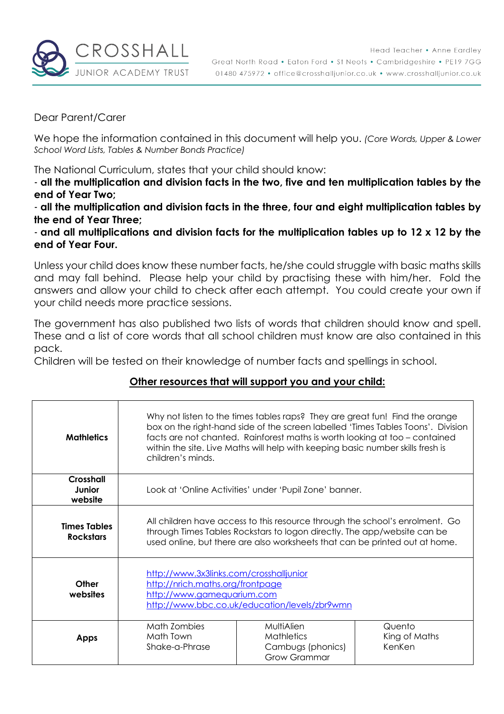

Dear Parent/Carer

We hope the information contained in this document will help you. *(Core Words, Upper & Lower School Word Lists, Tables & Number Bonds Practice)*

The National Curriculum, states that your child should know:

- **all the multiplication and division facts in the two, five and ten multiplication tables by the end of Year Two;**

- **all the multiplication and division facts in the three, four and eight multiplication tables by the end of Year Three;**

- **and all multiplications and division facts for the multiplication tables up to 12 x 12 by the end of Year Four.**

Unless your child does know these number facts, he/she could struggle with basic maths skills and may fall behind. Please help your child by practising these with him/her. Fold the answers and allow your child to check after each attempt. You could create your own if your child needs more practice sessions.

The government has also published two lists of words that children should know and spell. These and a list of core words that all school children must know are also contained in this pack.

Children will be tested on their knowledge of number facts and spellings in school.

#### **Other resources that will support you and your child:**

| <b>Mathletics</b>                       | Why not listen to the times tables raps? They are great fun! Find the orange<br>box on the right-hand side of the screen labelled 'Times Tables Toons'. Division<br>facts are not chanted. Rainforest maths is worth looking at too - contained<br>within the site. Live Maths will help with keeping basic number skills fresh is<br>children's minds. |                                                                                                                                                                                                                                         |                                   |  |  |
|-----------------------------------------|---------------------------------------------------------------------------------------------------------------------------------------------------------------------------------------------------------------------------------------------------------------------------------------------------------------------------------------------------------|-----------------------------------------------------------------------------------------------------------------------------------------------------------------------------------------------------------------------------------------|-----------------------------------|--|--|
| <b>Crosshall</b><br>Junior<br>website   |                                                                                                                                                                                                                                                                                                                                                         | Look at 'Online Activities' under 'Pupil Zone' banner.                                                                                                                                                                                  |                                   |  |  |
| <b>Times Tables</b><br><b>Rockstars</b> |                                                                                                                                                                                                                                                                                                                                                         | All children have access to this resource through the school's enrolment. Go<br>through Times Tables Rockstars to logon directly. The app/website can be<br>used online, but there are also worksheets that can be printed out at home. |                                   |  |  |
| Other<br>websites                       |                                                                                                                                                                                                                                                                                                                                                         | http://www.3x3links.com/crosshalljunior<br>http://nrich.maths.org/frontpage<br>http://www.gamequarium.com<br>http://www.bbc.co.uk/education/levels/zbr9wmn                                                                              |                                   |  |  |
| <b>Apps</b>                             | Math Zombies<br>Math Town<br>Shake-a-Phrase                                                                                                                                                                                                                                                                                                             | MultiAlien<br><b>Mathletics</b><br>Cambugs (phonics)<br><b>Grow Grammar</b>                                                                                                                                                             | Quento<br>King of Maths<br>KenKen |  |  |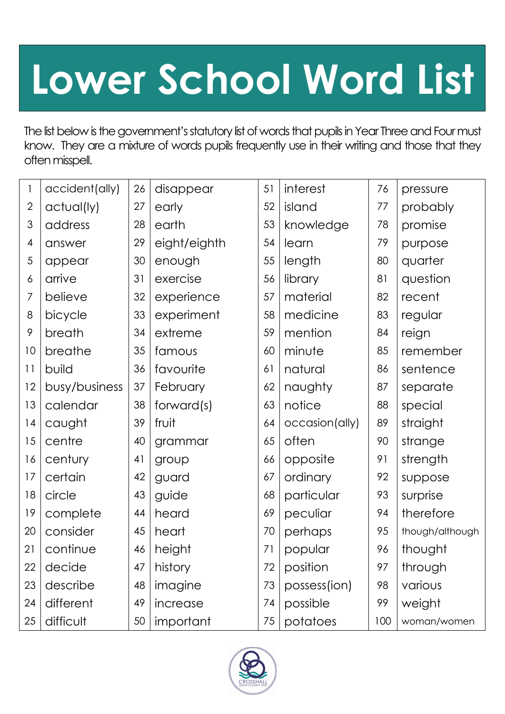## **Lower School Word List**

The list below is the government's statutory list of words that pupils in Year Three and Four must know. They are a mixture of words pupils frequently use in their writing and those that they often misspell.

|                | accident(ally) | 26 | disappear    | 51 | interest       | 76  | pressure        |
|----------------|----------------|----|--------------|----|----------------|-----|-----------------|
| $\overline{2}$ | actual(ly)     | 27 | early        | 52 | island         | 77  | probably        |
| 3              | address        | 28 | earth        | 53 | knowledge      | 78  | promise         |
| 4              | answer         | 29 | eight/eighth | 54 | learn          | 79  | purpose         |
| 5              | appear         | 30 | enough       | 55 | length         | 80  | quarter         |
| 6              | arrive         | 31 | exercise     | 56 | library        | 81  | question        |
| 7              | believe        | 32 | experience   | 57 | material       | 82  | recent          |
| 8              | bicycle        | 33 | experiment   | 58 | medicine       | 83  | regular         |
| 9              | breath         | 34 | extreme      | 59 | mention        | 84  | reign           |
| 10             | breathe        | 35 | famous       | 60 | minute         | 85  | remember        |
| 11             | build          | 36 | favourite    | 61 | natural        | 86  | sentence        |
| 12             | busy/business  | 37 | February     | 62 | naughty        | 87  | separate        |
| 13             | calendar       | 38 | forward(s)   | 63 | notice         | 88  | special         |
| 14             | caught         | 39 | fruit        | 64 | occasion(ally) | 89  | straight        |
| 15             | centre         | 40 | grammar      | 65 | often          | 90  | strange         |
| 16             | century        | 41 | group        | 66 | opposite       | 91  | strength        |
| 17             | certain        | 42 | guard        | 67 | ordinary       | 92  | suppose         |
| 18             | circle         | 43 | guide        | 68 | particular     | 93  | surprise        |
| 19             | complete       | 44 | heard        | 69 | peculiar       | 94  | therefore       |
| 20             | consider       | 45 | heart        | 70 | perhaps        | 95  | though/although |
| 21             | continue       | 46 | height       | 71 | popular        | 96  | thought         |
| 22             | decide         | 47 | history      | 72 | position       | 97  | through         |
| 23             | describe       | 48 | imagine      | 73 | possess(ion)   | 98  | various         |
| 24             | different      | 49 | increase     | 74 | possible       | 99  | weight          |
| 25             | difficult      | 50 | important    | 75 | potatoes       | 100 | woman/women     |

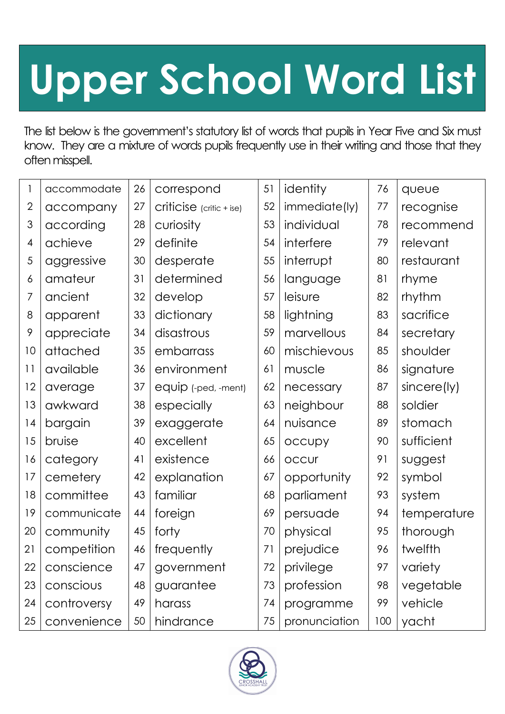# **Upper School Word List**

The list below is the government's statutory list of words that pupils in Year Five and Six must know. They are a mixture of words pupils frequently use in their writing and those that they often misspell.

| 1              | accommodate | 26 | correspond                 | 51 | identity      | 76  | queue       |
|----------------|-------------|----|----------------------------|----|---------------|-----|-------------|
| $\overline{2}$ | accompany   | 27 | $criticise$ (critic + ise) | 52 | immediate(ly) | 77  | recognise   |
| 3              | according   | 28 | curiosity                  | 53 | individual    | 78  | recommend   |
| 4              | achieve     | 29 | definite                   | 54 | interfere     | 79  | relevant    |
| 5              | aggressive  | 30 | desperate                  | 55 | interrupt     | 80  | restaurant  |
| 6              | amateur     | 31 | determined                 | 56 | language      | 81  | rhyme       |
| 7              | ancient     | 32 | develop                    | 57 | leisure       | 82  | rhythm      |
| 8              | apparent    | 33 | dictionary                 | 58 | lightning     | 83  | sacrifice   |
| 9              | appreciate  | 34 | disastrous                 | 59 | marvellous    | 84  | secretary   |
| 10             | attached    | 35 | embarrass                  | 60 | mischievous   | 85  | shoulder    |
| 11             | available   | 36 | environment                | 61 | muscle        | 86  | signature   |
| 12             | average     | 37 | equip (-ped, -ment)        | 62 | necessary     | 87  | sincere(ly) |
| 13             | awkward     | 38 | especially                 | 63 | neighbour     | 88  | soldier     |
| 4              | bargain     | 39 | exaggerate                 | 64 | nuisance      | 89  | stomach     |
| 15             | bruise      | 40 | excellent                  | 65 | occupy        | 90  | sufficient  |
| 16             | category    | 41 | existence                  | 66 | <b>OCCUr</b>  | 91  | suggest     |
| 17             | cemetery    | 42 | explanation                | 67 | opportunity   | 92  | symbol      |
| 18             | committee   | 43 | familiar                   | 68 | parliament    | 93  | system      |
| 19             | communicate | 44 | foreign                    | 69 | persuade      | 94  | temperature |
| 20             | community   | 45 | forty                      | 70 | physical      | 95  | thorough    |
| 21             | competition | 46 | frequently                 | 71 | prejudice     | 96  | twelfth     |
| 22             | conscience  | 47 | government                 | 72 | privilege     | 97  | variety     |
| 23             | conscious   | 48 | guarantee                  | 73 | profession    | 98  | vegetable   |
| 24             | controversy | 49 | harass                     | 74 | programme     | 99  | vehicle     |
| 25             | convenience | 50 | hindrance                  | 75 | pronunciation | 100 | yacht       |

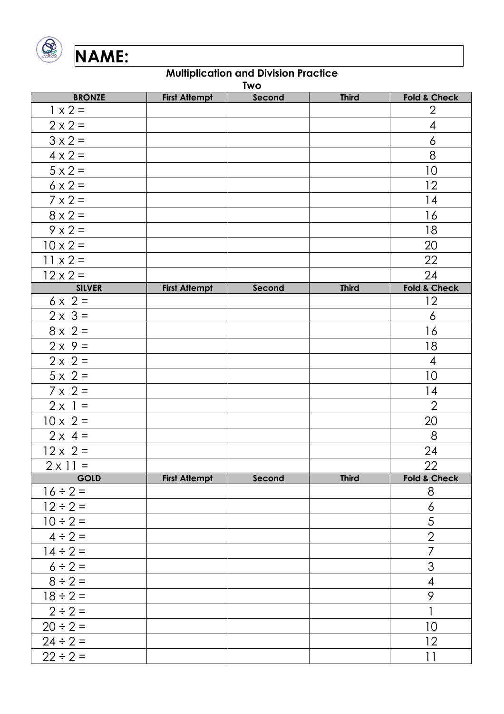

| <b>Two</b>      |                      |        |              |                          |  |  |
|-----------------|----------------------|--------|--------------|--------------------------|--|--|
| <b>BRONZE</b>   | <b>First Attempt</b> | Second | <b>Third</b> | <b>Fold &amp; Check</b>  |  |  |
| $1 \times 2 =$  |                      |        |              | $\overline{2}$           |  |  |
| $2 \times 2 =$  |                      |        |              | $\overline{\mathcal{A}}$ |  |  |
| $3 \times 2 =$  |                      |        |              | $\overline{6}$           |  |  |
| $4 \times 2 =$  |                      |        |              | 8                        |  |  |
| $5 \times 2 =$  |                      |        |              | 10                       |  |  |
| $6 \times 2 =$  |                      |        |              | 12                       |  |  |
| $7 \times 2 =$  |                      |        |              | 14                       |  |  |
| $8 \times 2 =$  |                      |        |              | 16                       |  |  |
| $9 \times 2 =$  |                      |        |              | 18                       |  |  |
| $10 \times 2 =$ |                      |        |              | 20                       |  |  |
| $11 \times 2 =$ |                      |        |              | 22                       |  |  |
| $12 \times 2 =$ |                      |        |              | 24                       |  |  |
| <b>SILVER</b>   | <b>First Attempt</b> | Second | <b>Third</b> | Fold & Check             |  |  |
| $6 \times 2 =$  |                      |        |              | 12                       |  |  |
| $2 \times 3 =$  |                      |        |              | $\ddot{\delta}$          |  |  |
| $8 \times 2 =$  |                      |        |              | 16                       |  |  |
| $2 \times 9 =$  |                      |        |              | 18                       |  |  |
| $2 \times 2 =$  |                      |        |              | $\overline{\mathcal{A}}$ |  |  |
| $5 \times 2 =$  |                      |        |              | 10                       |  |  |
| $7 \times 2 =$  |                      |        |              | 4                        |  |  |
| $2 \times 1 =$  |                      |        |              | $\overline{2}$           |  |  |
| $10 \times 2 =$ |                      |        |              | 20                       |  |  |
| $2 \times 4 =$  |                      |        |              | 8                        |  |  |
| $12 \times 2 =$ |                      |        |              | 24                       |  |  |
| $2 \times 11 =$ |                      |        |              | 22                       |  |  |
| <b>GOLD</b>     | <b>First Attempt</b> | Second | <b>Third</b> | <b>Fold &amp; Check</b>  |  |  |
| $16 \div 2 =$   |                      |        |              | $8\phantom{1}$           |  |  |
| $12 \div 2 =$   |                      |        |              | $\boldsymbol{6}$         |  |  |
| $10 \div 2 =$   |                      |        |              | 5                        |  |  |
| $4 \div 2 =$    |                      |        |              | $\overline{2}$           |  |  |
| $14 \div 2 =$   |                      |        |              | $\overline{7}$           |  |  |
| $6 \div 2 =$    |                      |        |              | 3                        |  |  |
| $8 \div 2 =$    |                      |        |              | $\overline{\mathcal{A}}$ |  |  |
| $18 \div 2 =$   |                      |        |              | 9                        |  |  |
| $2 \div 2 =$    |                      |        |              | $\overline{1}$           |  |  |
| $20 \div 2 =$   |                      |        |              | 10                       |  |  |
| $24 \div 2 =$   |                      |        |              | 12                       |  |  |
| $22 \div 2 =$   |                      |        |              | 11                       |  |  |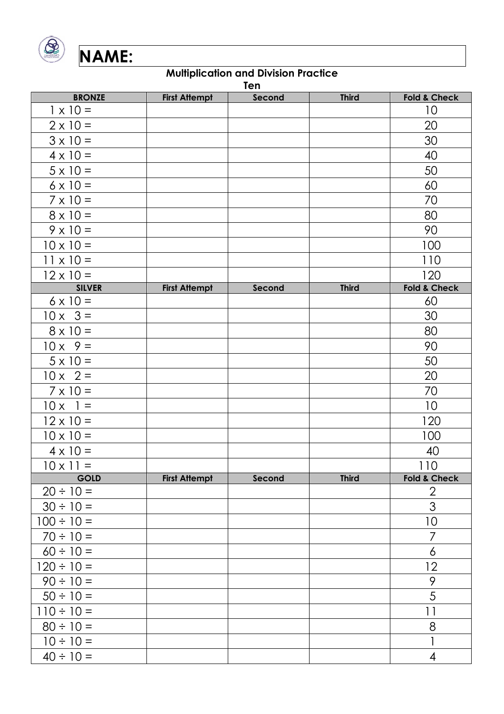

|                  | Ten                  |        |              |                         |  |  |  |
|------------------|----------------------|--------|--------------|-------------------------|--|--|--|
| <b>BRONZE</b>    | <b>First Attempt</b> | Second | <b>Third</b> | <b>Fold &amp; Check</b> |  |  |  |
| $1 \times 10 =$  |                      |        |              | 10                      |  |  |  |
| $2 \times 10 =$  |                      |        |              | 20                      |  |  |  |
| $3 \times 10 =$  |                      |        |              | 30                      |  |  |  |
| $4 \times 10 =$  |                      |        |              | 40                      |  |  |  |
| $5 \times 10 =$  |                      |        |              | 50                      |  |  |  |
| $6 \times 10 =$  |                      |        |              | 60                      |  |  |  |
| $7 \times 10 =$  |                      |        |              | 70                      |  |  |  |
| $8 \times 10 =$  |                      |        |              | 80                      |  |  |  |
| $9 \times 10 =$  |                      |        |              | 90                      |  |  |  |
| $10 \times 10 =$ |                      |        |              | 100                     |  |  |  |
| $11 \times 10 =$ |                      |        |              | 110                     |  |  |  |
| $12 \times 10 =$ |                      |        |              | 120                     |  |  |  |
| <b>SILVER</b>    | <b>First Attempt</b> | Second | <b>Third</b> | <b>Fold &amp; Check</b> |  |  |  |
| $6 \times 10 =$  |                      |        |              | 60                      |  |  |  |
| $10 \times 3 =$  |                      |        |              | 30                      |  |  |  |
| $8 \times 10 =$  |                      |        |              | 80                      |  |  |  |
| $10x$ 9 =        |                      |        |              | 90                      |  |  |  |
| $5 \times 10 =$  |                      |        |              | 50                      |  |  |  |
| $10x$ 2 =        |                      |        |              | 20                      |  |  |  |
| $7 \times 10 =$  |                      |        |              | 70                      |  |  |  |
| $10x$ 1 =        |                      |        |              | 10                      |  |  |  |
| $12 \times 10 =$ |                      |        |              | 120                     |  |  |  |
| $10 \times 10 =$ |                      |        |              | 100                     |  |  |  |
| $4 \times 10 =$  |                      |        |              | 40                      |  |  |  |
| $10 \times 11 =$ |                      |        |              | 110                     |  |  |  |
| <b>GOLD</b>      | <b>First Attempt</b> | Second | <b>Third</b> | <b>Fold &amp; Check</b> |  |  |  |
| $20 \div 10 =$   |                      |        |              | $\overline{2}$          |  |  |  |
| $30 \div 10 =$   |                      |        |              | 3                       |  |  |  |
| $100 \div 10 =$  |                      |        |              | 10                      |  |  |  |
| $70 \div 10 =$   |                      |        |              | 7                       |  |  |  |
| $60 \div 10 =$   |                      |        |              | $\delta$                |  |  |  |
| $120 \div 10 =$  |                      |        |              | 12                      |  |  |  |
| $90 \div 10 =$   |                      |        |              | 9                       |  |  |  |
| $50 \div 10 =$   |                      |        |              | 5                       |  |  |  |
| $110 \div 10 =$  |                      |        |              | 11                      |  |  |  |
| $80 \div 10 =$   |                      |        |              | 8                       |  |  |  |
| $10 \div 10 =$   |                      |        |              | $\mathbf{1}$            |  |  |  |
| $40 \div 10 =$   |                      |        |              | $\overline{4}$          |  |  |  |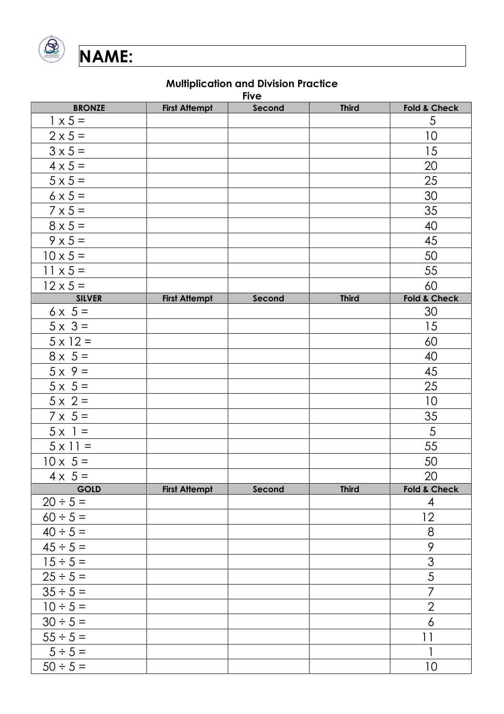

|                 | <b>Five</b>          |        |              |                         |  |  |  |
|-----------------|----------------------|--------|--------------|-------------------------|--|--|--|
| <b>BRONZE</b>   | <b>First Attempt</b> | Second | <b>Third</b> | <b>Fold &amp; Check</b> |  |  |  |
| $1 \times 5 =$  |                      |        |              | $\overline{5}$          |  |  |  |
| $2 \times 5 =$  |                      |        |              | 10                      |  |  |  |
| $3 \times 5 =$  |                      |        |              | 15                      |  |  |  |
| $4 \times 5 =$  |                      |        |              | 20                      |  |  |  |
| $5 \times 5 =$  |                      |        |              | 25                      |  |  |  |
| $6 \times 5 =$  |                      |        |              | 30                      |  |  |  |
| $7 \times 5 =$  |                      |        |              | 35                      |  |  |  |
| $8 \times 5 =$  |                      |        |              | 40                      |  |  |  |
| $9 \times 5 =$  |                      |        |              | 45                      |  |  |  |
| $10 \times 5 =$ |                      |        |              | 50                      |  |  |  |
| $11 \times 5 =$ |                      |        |              | 55                      |  |  |  |
| $12 \times 5 =$ |                      |        |              | 60                      |  |  |  |
| <b>SILVER</b>   | <b>First Attempt</b> | Second | <b>Third</b> | <b>Fold &amp; Check</b> |  |  |  |
| $6 \times 5 =$  |                      |        |              | 30                      |  |  |  |
| $5 \times 3 =$  |                      |        |              | 15                      |  |  |  |
| $5 \times 12 =$ |                      |        |              | 60                      |  |  |  |
| $8 \times 5 =$  |                      |        |              | 40                      |  |  |  |
| $5 \times 9 =$  |                      |        |              | 45                      |  |  |  |
| $5 \times 5 =$  |                      |        |              | 25                      |  |  |  |
| $5 \times 2 =$  |                      |        |              | 10                      |  |  |  |
| $7 \times 5 =$  |                      |        |              | 35                      |  |  |  |
| $5 \times 1 =$  |                      |        |              | $\overline{5}$          |  |  |  |
| $5 \times 11 =$ |                      |        |              | 55                      |  |  |  |
| $10 \times 5 =$ |                      |        |              | 50                      |  |  |  |
| $4 \times 5 =$  |                      |        |              | 20                      |  |  |  |
| <b>GOLD</b>     | <b>First Attempt</b> | Second | <b>Third</b> | <b>Fold &amp; Check</b> |  |  |  |
| $20 \div 5 =$   |                      |        |              | $\overline{4}$          |  |  |  |
| $60 \div 5 =$   |                      |        |              | 12                      |  |  |  |
| $40 \div 5 =$   |                      |        |              | 8                       |  |  |  |
| $45 \div 5 =$   |                      |        |              | 9                       |  |  |  |
| $15 \div 5 =$   |                      |        |              | 3                       |  |  |  |
| $25 \div 5 =$   |                      |        |              | 5                       |  |  |  |
| $35 \div 5 =$   |                      |        |              | $\overline{7}$          |  |  |  |
| $10 \div 5 =$   |                      |        |              | $\overline{2}$          |  |  |  |
| $30 \div 5 =$   |                      |        |              | $\boldsymbol{\delta}$   |  |  |  |
| $55 \div 5 =$   |                      |        |              | 11                      |  |  |  |
| $5 \div 5 =$    |                      |        |              | $\mathbf{1}$            |  |  |  |
| $50 \div 5 =$   |                      |        |              | 10                      |  |  |  |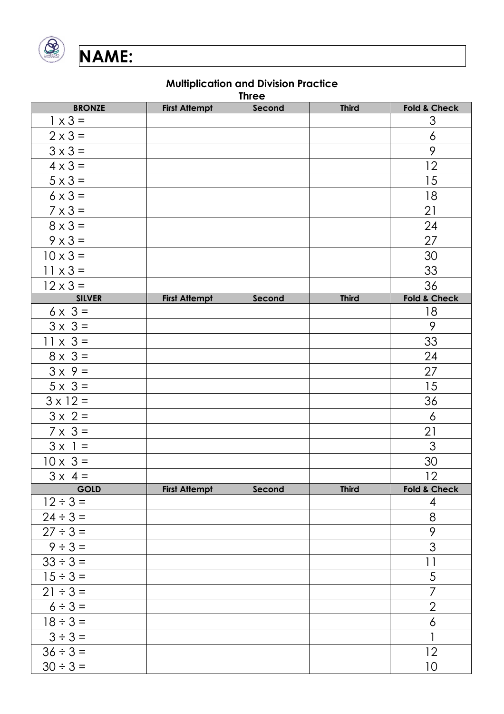

|                 | <b>Three</b>         |        |              |                         |  |  |  |  |
|-----------------|----------------------|--------|--------------|-------------------------|--|--|--|--|
| <b>BRONZE</b>   | <b>First Attempt</b> | Second | <b>Third</b> | <b>Fold &amp; Check</b> |  |  |  |  |
| $1 \times 3 =$  |                      |        |              | $\mathfrak{S}$          |  |  |  |  |
| $2 \times 3 =$  |                      |        |              | $\boldsymbol{6}$        |  |  |  |  |
| $3 \times 3 =$  |                      |        |              | 9                       |  |  |  |  |
| $4 \times 3 =$  |                      |        |              | 12                      |  |  |  |  |
| $5 \times 3 =$  |                      |        |              | 15                      |  |  |  |  |
| $6 \times 3 =$  |                      |        |              | 18                      |  |  |  |  |
| $7 \times 3 =$  |                      |        |              | 21                      |  |  |  |  |
| $8 \times 3 =$  |                      |        |              | 24                      |  |  |  |  |
| $9 \times 3 =$  |                      |        |              | 27                      |  |  |  |  |
| $10 \times 3 =$ |                      |        |              | 30                      |  |  |  |  |
| $11 \times 3 =$ |                      |        |              | 33                      |  |  |  |  |
| $12 \times 3 =$ |                      |        |              | 36                      |  |  |  |  |
| <b>SILVER</b>   | <b>First Attempt</b> | Second | <b>Third</b> | Fold & Check            |  |  |  |  |
| $6 \times 3 =$  |                      |        |              | 18                      |  |  |  |  |
| $3 \times 3 =$  |                      |        |              | 9                       |  |  |  |  |
| $11 \times 3 =$ |                      |        |              | 33                      |  |  |  |  |
| $8 \times 3 =$  |                      |        |              | 24                      |  |  |  |  |
| $3 \times 9 =$  |                      |        |              | 27                      |  |  |  |  |
| $5 \times 3 =$  |                      |        |              | 15                      |  |  |  |  |
| $3 \times 12 =$ |                      |        |              | 36                      |  |  |  |  |
| $3 \times 2 =$  |                      |        |              | $\overline{6}$          |  |  |  |  |
| $7 \times 3 =$  |                      |        |              | 21                      |  |  |  |  |
| $3 \times 1 =$  |                      |        |              | 3                       |  |  |  |  |
| $10 \times 3 =$ |                      |        |              | 30                      |  |  |  |  |
| $3 \times 4 =$  |                      |        |              | 12                      |  |  |  |  |
| <b>GOLD</b>     | <b>First Attempt</b> | Second | <b>Third</b> | <b>Fold &amp; Check</b> |  |  |  |  |
| $12 \div 3 =$   |                      |        |              | $\overline{4}$          |  |  |  |  |
| $24 \div 3 =$   |                      |        |              | $\,8\,$                 |  |  |  |  |
| $27 \div 3 =$   |                      |        |              | 9                       |  |  |  |  |
| $9 \div 3 =$    |                      |        |              | $\overline{3}$          |  |  |  |  |
| $33 \div 3 =$   |                      |        |              | $\overline{11}$         |  |  |  |  |
| $15 \div 3 =$   |                      |        |              | 5                       |  |  |  |  |
| $21 \div 3 =$   |                      |        |              | $\overline{7}$          |  |  |  |  |
| $6 \div 3 =$    |                      |        |              | $\overline{2}$          |  |  |  |  |
| $18 \div 3 =$   |                      |        |              | $\boldsymbol{\delta}$   |  |  |  |  |
| $3 \div 3 =$    |                      |        |              |                         |  |  |  |  |
| $36 \div 3 =$   |                      |        |              | 12                      |  |  |  |  |
| $30 \div 3 =$   |                      |        |              | 10                      |  |  |  |  |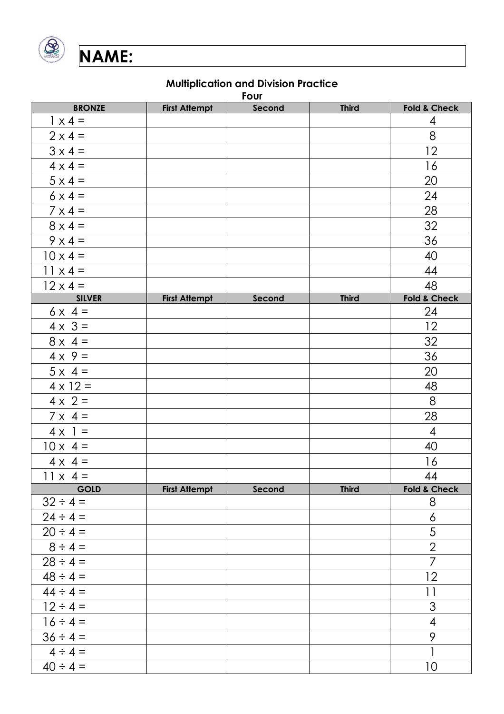

|                           | Four                 |        |              |                          |  |  |  |  |
|---------------------------|----------------------|--------|--------------|--------------------------|--|--|--|--|
| <b>BRONZE</b>             | <b>First Attempt</b> | Second | <b>Third</b> | <b>Fold &amp; Check</b>  |  |  |  |  |
| $1 \times 4 =$            |                      |        |              | 4                        |  |  |  |  |
| $2 \times 4 =$            |                      |        |              | 8                        |  |  |  |  |
| $3 \times 4 =$            |                      |        |              | 12                       |  |  |  |  |
| $4 \times 4 =$            |                      |        |              | 16                       |  |  |  |  |
| $5 \times 4 =$            |                      |        |              | 20                       |  |  |  |  |
| $6 \times 4 =$            |                      |        |              | 24                       |  |  |  |  |
| $7 \times 4 =$            |                      |        |              | 28                       |  |  |  |  |
| $8 \times 4 =$            |                      |        |              | 32                       |  |  |  |  |
| $9 \times 4 =$            |                      |        |              | 36                       |  |  |  |  |
| $10 \times 4 =$           |                      |        |              | 40                       |  |  |  |  |
| $11 \times 4 =$           |                      |        |              | 44                       |  |  |  |  |
| $12 \times 4 =$           |                      |        |              | 48                       |  |  |  |  |
| <b>SILVER</b>             | <b>First Attempt</b> | Second | <b>Third</b> | <b>Fold &amp; Check</b>  |  |  |  |  |
| $6x 4 =$                  |                      |        |              | 24                       |  |  |  |  |
| $4 \times \overline{3} =$ |                      |        |              | 12                       |  |  |  |  |
| $8 \times 4 =$            |                      |        |              | 32                       |  |  |  |  |
| $4 \times 9 =$            |                      |        |              | 36                       |  |  |  |  |
| $5 \times 4 =$            |                      |        |              | 20                       |  |  |  |  |
| $4 \times 12 =$           |                      |        |              | 48                       |  |  |  |  |
| $4 \times 2 =$            |                      |        |              | 8                        |  |  |  |  |
| $7 \times 4 =$            |                      |        |              | 28                       |  |  |  |  |
| $4 \times 1 =$            |                      |        |              | $\overline{4}$           |  |  |  |  |
| $10 \times 4 =$           |                      |        |              | 40                       |  |  |  |  |
| $4 \times 4 =$            |                      |        |              | 16                       |  |  |  |  |
| $11 \times 4 =$           |                      |        |              | 44                       |  |  |  |  |
| <b>GOLD</b>               | <b>First Attempt</b> | Second | <b>Third</b> | Fold & Check             |  |  |  |  |
| $32 \div 4 =$             |                      |        |              | 8                        |  |  |  |  |
| $24 \div 4 =$             |                      |        |              | $\ddot{\circ}$           |  |  |  |  |
| $20 \div 4 =$             |                      |        |              | $\frac{5}{2}$            |  |  |  |  |
| $8 \div 4 =$              |                      |        |              |                          |  |  |  |  |
| $28 \div 4 =$             |                      |        |              | $\overline{7}$           |  |  |  |  |
| $48 \div 4 =$             |                      |        |              | 12                       |  |  |  |  |
| $44 \div 4 =$             |                      |        |              | 11                       |  |  |  |  |
| $12 \div 4 =$             |                      |        |              | $\mathfrak{S}$           |  |  |  |  |
| $16 \div 4 =$             |                      |        |              | $\overline{\mathcal{A}}$ |  |  |  |  |
| $36 \div 4 =$             |                      |        |              | 9                        |  |  |  |  |
| $4 \div 4 =$              |                      |        |              | $\mathbf{1}$             |  |  |  |  |
| $40 \div 4 =$             |                      |        |              | 10                       |  |  |  |  |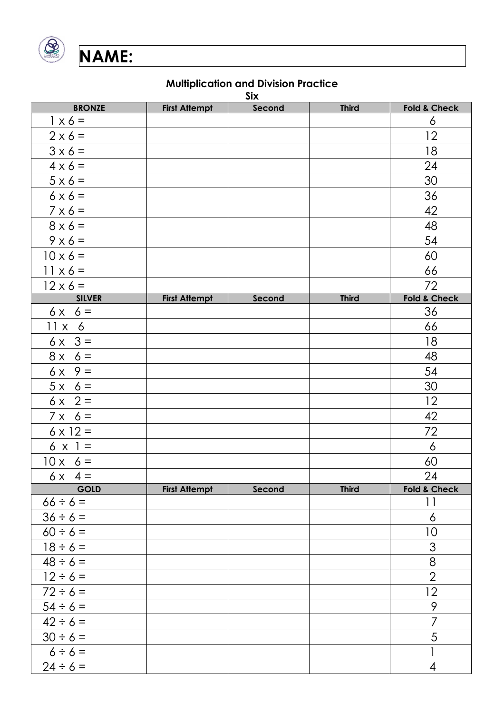

|                 |                      | Six    |              |                         |
|-----------------|----------------------|--------|--------------|-------------------------|
| <b>BRONZE</b>   | <b>First Attempt</b> | Second | <b>Third</b> | <b>Fold &amp; Check</b> |
| $1 \times 6 =$  |                      |        |              | $\boldsymbol{6}$        |
| $2 \times 6 =$  |                      |        |              | 12                      |
| $3 \times 6 =$  |                      |        |              | 18                      |
| $4 \times 6 =$  |                      |        |              | 24                      |
| $5 \times 6 =$  |                      |        |              | 30                      |
| $6 \times 6 =$  |                      |        |              | 36                      |
| $7 \times 6 =$  |                      |        |              | 42                      |
| $8 \times 6 =$  |                      |        |              | 48                      |
| $9 \times 6 =$  |                      |        |              | 54                      |
| $10 \times 6 =$ |                      |        |              | 60                      |
| $11 \times 6 =$ |                      |        |              | 66                      |
| $12 \times 6 =$ |                      |        |              | 72                      |
| <b>SILVER</b>   | <b>First Attempt</b> | Second | <b>Third</b> | <b>Fold &amp; Check</b> |
| $6x 6 =$        |                      |        |              | 36                      |
| $11x$ 6         |                      |        |              | 66                      |
| $6x$ 3 =        |                      |        |              | 18                      |
| $8x 6 =$        |                      |        |              | 48                      |
| $6x$ 9 =        |                      |        |              | 54                      |
| $5x 6=$         |                      |        |              | 30                      |
| $6x$ 2 =        |                      |        |              | 12                      |
| $7 \times 6 =$  |                      |        |              | 42                      |
| $6 \times 12 =$ |                      |        |              | 72                      |
| $6 \times 1 =$  |                      |        |              | $\boldsymbol{6}$        |
| $10x 6 =$       |                      |        |              | 60                      |
| $6x 4=$         |                      |        |              | 24                      |
| <b>GOLD</b>     | <b>First Attempt</b> | Second | <b>Third</b> | Fold & Check            |
| $66 \div 6 =$   |                      |        |              | 11                      |
| $36 \div 6 =$   |                      |        |              | 6                       |
| $60 \div 6 =$   |                      |        |              | 10                      |
| $18 \div 6 =$   |                      |        |              | 3                       |
| $48 \div 6 =$   |                      |        |              | 8                       |
| $12 \div 6 =$   |                      |        |              | $\overline{2}$          |
| $72 \div 6 =$   |                      |        |              | 12                      |
| $54 \div 6 =$   |                      |        |              | $\mathsf{\varphi}$      |
| $42 \div 6 =$   |                      |        |              | $\overline{7}$          |
| $30 \div 6 =$   |                      |        |              | 5                       |
| $6 \div 6 =$    |                      |        |              | 1                       |
| $24 \div 6 =$   |                      |        |              | $\overline{4}$          |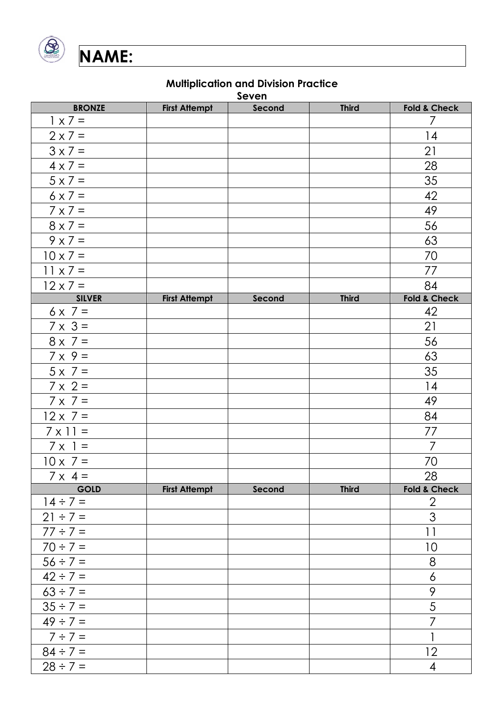

**Seven**

| <b>BRONZE</b>                  | <b>First Attempt</b> | ᄭᅀᅀᄓ<br>Second | <b>Third</b> | <b>Fold &amp; Check</b> |
|--------------------------------|----------------------|----------------|--------------|-------------------------|
| $1 \times 7 =$                 |                      |                |              | $\overline{7}$          |
| $2 \times 7 =$                 |                      |                |              | 14                      |
| $3 \times 7 =$                 |                      |                |              | 21                      |
| $4 \times 7 =$                 |                      |                |              | 28                      |
| $5 \times 7 =$                 |                      |                |              | 35                      |
| $6 \times 7 =$                 |                      |                |              | 42                      |
| $7 \times 7 =$                 |                      |                |              | 49                      |
| $8 \times 7 =$                 |                      |                |              | 56                      |
| $9 \times 7 =$                 |                      |                |              | 63                      |
| $10 \times 7 =$                |                      |                |              | 70                      |
| $11 \times 7 =$                |                      |                |              | 77                      |
| $12 \times 7 =$                |                      |                |              | 84                      |
| <b>SILVER</b>                  | <b>First Attempt</b> | Second         | <b>Third</b> | Fold & Check            |
| $6 \times 7 =$                 |                      |                |              | 42                      |
| $7 \times 3 =$                 |                      |                |              | 21                      |
| $8 \times 7 =$                 |                      |                |              | 56                      |
| $7 \times 9 =$                 |                      |                |              | 63                      |
| $5 \times 7 =$                 |                      |                |              | 35                      |
| $7 \times 2 =$                 |                      |                |              | 14                      |
| $7 \times 7 =$                 |                      |                |              | 49                      |
| $12 \times 7 =$                |                      |                |              | 84                      |
| $7 \times 11 =$                |                      |                |              | 77                      |
| $7 \times 1 =$                 |                      |                |              | $\overline{7}$          |
| $10 \times 7 =$                |                      |                |              | 70                      |
| $7 \times 4 =$                 |                      |                |              | 28                      |
| <b>GOLD</b>                    | <b>First Attempt</b> | Second         | <b>Third</b> | <b>Fold &amp; Check</b> |
| $14 \div 7 =$                  |                      |                |              | $\overline{2}$<br>3     |
| $21 \div 7 =$                  |                      |                |              |                         |
| $77 \div 7 =$                  |                      |                |              | 11                      |
| $70 \div 7 =$                  |                      |                |              | 10                      |
| $56 \div 7 =$                  |                      |                |              | 8                       |
| $42 \div 7 =$                  |                      |                |              | $\boldsymbol{6}$<br>9   |
| $63 \div 7 =$<br>$35 \div 7 =$ |                      |                |              | 5                       |
| $49 \div 7 =$                  |                      |                |              | 7                       |
|                                |                      |                |              | 1                       |
| $7 \div 7 =$                   |                      |                |              |                         |
| $84 \div 7 =$                  |                      |                |              | 12                      |
| $28 \div 7 =$                  |                      |                |              | 4                       |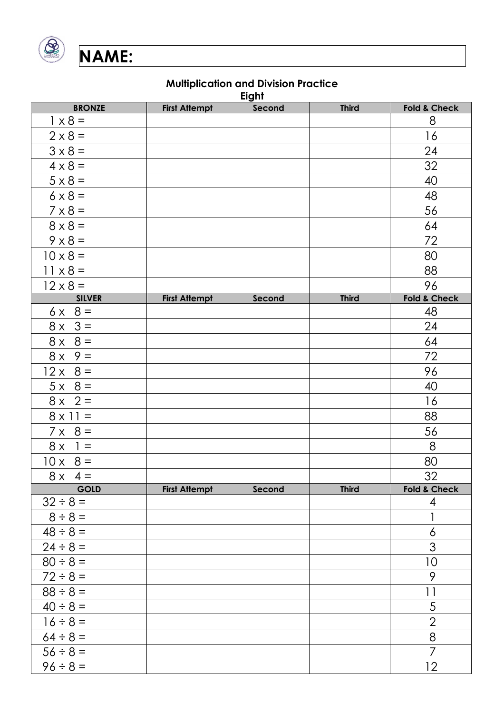

|                 |                      | Eight  |              |                          |
|-----------------|----------------------|--------|--------------|--------------------------|
| <b>BRONZE</b>   | <b>First Attempt</b> | Second | <b>Third</b> | <b>Fold &amp; Check</b>  |
| $1 \times 8 =$  |                      |        |              | 8                        |
| $2 \times 8 =$  |                      |        |              | 16                       |
| $3 \times 8 =$  |                      |        |              | 24                       |
| $4 \times 8 =$  |                      |        |              | 32                       |
| $5 \times 8 =$  |                      |        |              | 40                       |
| $6 \times 8 =$  |                      |        |              | 48                       |
| $7 \times 8 =$  |                      |        |              | 56                       |
| $8 \times 8 =$  |                      |        |              | 64                       |
| $9 \times 8 =$  |                      |        |              | 72                       |
| $10 \times 8 =$ |                      |        |              | 80                       |
| $11 \times 8 =$ |                      |        |              | 88                       |
| $12 \times 8 =$ |                      |        |              | 96                       |
| <b>SILVER</b>   | <b>First Attempt</b> | Second | <b>Third</b> | <b>Fold &amp; Check</b>  |
| $6x 8 =$        |                      |        |              | 48                       |
| $8x \quad 3 =$  |                      |        |              | 24                       |
| $8 \times 8 =$  |                      |        |              | 64                       |
| $8x$ 9 =        |                      |        |              | 72                       |
| $12 \times 8 =$ |                      |        |              | 96                       |
| $5 \times 8 =$  |                      |        |              | 40                       |
| $8x$ 2 =        |                      |        |              | 16                       |
| $8 \times 11 =$ |                      |        |              | 88                       |
| $7 \times 8 =$  |                      |        |              | 56                       |
| $8 \times 1 =$  |                      |        |              | 8                        |
| $10 \times 8 =$ |                      |        |              | 80                       |
| $8x 4 =$        |                      |        |              | 32                       |
| <b>GOLD</b>     | <b>First Attempt</b> | Second | <b>Third</b> | Fold & Check             |
| $32 \div 8 =$   |                      |        |              | 4                        |
| $8 \div 8 =$    |                      |        |              | 1                        |
| $48 \div 8 =$   |                      |        |              | $\boldsymbol{6}$         |
| $24 \div 8 =$   |                      |        |              | $\overline{3}$           |
| $80 \div 8 =$   |                      |        |              | 10                       |
| $72 \div 8 =$   |                      |        |              | 9                        |
| $88 \div 8 =$   |                      |        |              | $\overline{\phantom{a}}$ |
| $40 \div 8 =$   |                      |        |              | $\sqrt{5}$               |
| $16 \div 8 =$   |                      |        |              | $\overline{2}$           |
| $64 \div 8 =$   |                      |        |              | 8                        |
| $56 \div 8 =$   |                      |        |              | $\overline{7}$           |
| $96 \div 8 =$   |                      |        |              | $12 \,$                  |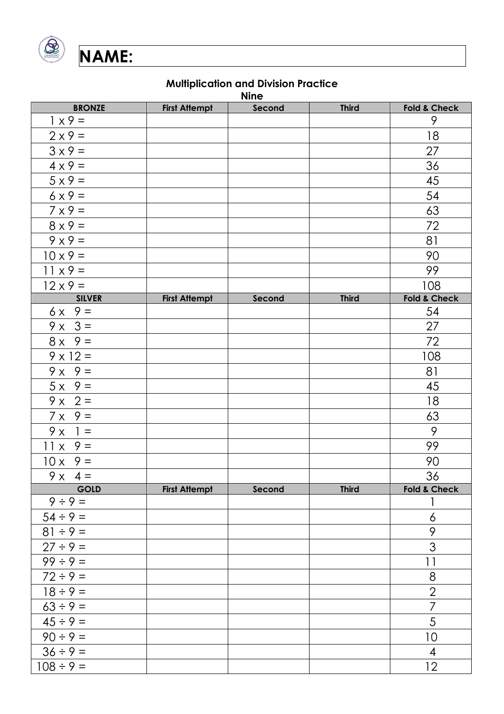

| <b>Nine</b>     |                      |        |              |                         |  |  |  |
|-----------------|----------------------|--------|--------------|-------------------------|--|--|--|
| <b>BRONZE</b>   | <b>First Attempt</b> | Second | <b>Third</b> | <b>Fold &amp; Check</b> |  |  |  |
| $1 x 9 =$       |                      |        |              | 9                       |  |  |  |
| $2 \times 9 =$  |                      |        |              | 18                      |  |  |  |
| $3 \times 9 =$  |                      |        |              | 27                      |  |  |  |
| $4 \times 9 =$  |                      |        |              | 36                      |  |  |  |
| $5 \times 9 =$  |                      |        |              | 45                      |  |  |  |
| $6x9 =$         |                      |        |              | 54                      |  |  |  |
| $7 \times 9 =$  |                      |        |              | 63                      |  |  |  |
| $8 \times 9 =$  |                      |        |              | 72                      |  |  |  |
| $9x9=$          |                      |        |              | 81                      |  |  |  |
| $10 \times 9 =$ |                      |        |              | 90                      |  |  |  |
| $11 \times 9 =$ |                      |        |              | 99                      |  |  |  |
| $12 \times 9 =$ |                      |        |              | 108                     |  |  |  |
| <b>SILVER</b>   | <b>First Attempt</b> | Second | <b>Third</b> | Fold & Check            |  |  |  |
| $6x$ 9 =        |                      |        |              | 54                      |  |  |  |
| $9x - 3 =$      |                      |        |              | 27                      |  |  |  |
| $8x$ 9 =        |                      |        |              | 72                      |  |  |  |
| $9 \times 12 =$ |                      |        |              | 108                     |  |  |  |
| $9x$ $9 =$      |                      |        |              | 81                      |  |  |  |
| $5x$ $9 =$      |                      |        |              | 45                      |  |  |  |
| $9x$ 2 =        |                      |        |              | 18                      |  |  |  |
| $7 \times 9 =$  |                      |        |              | 63                      |  |  |  |
| $9x = 1 =$      |                      |        |              | 9                       |  |  |  |
| $11 \times 9 =$ |                      |        |              | 99                      |  |  |  |
| $10x$ 9 =       |                      |        |              | 90                      |  |  |  |
| $9x 4 =$        |                      |        |              | 36                      |  |  |  |
| <b>GOLD</b>     | <b>First Attempt</b> | Second | <b>Third</b> | <b>Fold &amp; Check</b> |  |  |  |
| $9 ÷ 9 =$       |                      |        |              |                         |  |  |  |
| $54 \div 9 =$   |                      |        |              | 6                       |  |  |  |
| $81 \div 9 =$   |                      |        |              | 9                       |  |  |  |
| $27 \div 9 =$   |                      |        |              | $\overline{3}$          |  |  |  |
| $99 \div 9 =$   |                      |        |              | $  \;  $                |  |  |  |
| $72 \div 9 =$   |                      |        |              | 8                       |  |  |  |
| $18 \div 9 =$   |                      |        |              | $\overline{2}$          |  |  |  |
| $63 ÷ 9 =$      |                      |        |              | $\overline{7}$          |  |  |  |
| $45 \div 9 =$   |                      |        |              | 5                       |  |  |  |
| $90 \div 9 =$   |                      |        |              | 10                      |  |  |  |
| $36 \div 9 =$   |                      |        |              | $\overline{4}$          |  |  |  |
| $108 \div 9 =$  |                      |        |              | 12                      |  |  |  |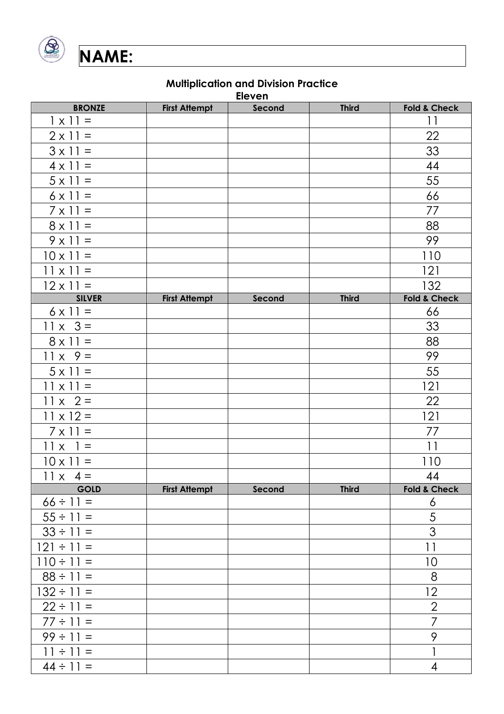

**Eleven**

| <b>BRONZE</b>    |                      | <b>FIGAGII</b> | <b>Third</b> | <b>Fold &amp; Check</b> |
|------------------|----------------------|----------------|--------------|-------------------------|
| $1 \times 11 =$  | <b>First Attempt</b> | Second         |              | 11                      |
| $2 \times 11 =$  |                      |                |              | 22                      |
| $3 \times 11 =$  |                      |                |              | 33                      |
| $4 \times 11 =$  |                      |                |              | 44                      |
| $5 \times 11 =$  |                      |                |              | 55                      |
| $6 \times 11 =$  |                      |                |              | 66                      |
| $7 \times 11 =$  |                      |                |              | 77                      |
| $8 \times 11 =$  |                      |                |              | 88                      |
| $9 \times 11 =$  |                      |                |              | 99                      |
| $10 \times 11 =$ |                      |                |              | 110                     |
| $11 \times 11 =$ |                      |                |              | 121                     |
| $12 \times 11 =$ |                      |                |              | 132                     |
| <b>SILVER</b>    | <b>First Attempt</b> | Second         | <b>Third</b> | <b>Fold &amp; Check</b> |
| $6 \times 11 =$  |                      |                |              | 66                      |
| $11 \times 3 =$  |                      |                |              | 33                      |
| $8 \times 11 =$  |                      |                |              | 88                      |
| $11 \times 9 =$  |                      |                |              | 99                      |
| $5 \times 11 =$  |                      |                |              | 55                      |
| $11 \times 11 =$ |                      |                |              | 121                     |
| $11 \times 2 =$  |                      |                |              | 22                      |
| $11 \times 12 =$ |                      |                |              | 121                     |
| $7 \times 11 =$  |                      |                |              | 77                      |
| $11 \times 1 =$  |                      |                |              | 11                      |
| $10 \times 11 =$ |                      |                |              | 110                     |
| $11 \times 4 =$  |                      |                |              | 44                      |
| <b>GOLD</b>      | <b>First Attempt</b> | Second         | <b>Third</b> | <b>Fold &amp; Check</b> |
| $66 \div 11 =$   |                      |                |              | 6                       |
| $55 \div 11 =$   |                      |                |              | 5                       |
| $33 \div 11 =$   |                      |                |              | $\overline{3}$          |
| $121 \div 11 =$  |                      |                |              | 11                      |
| $110 \div 11 =$  |                      |                |              | 10                      |
| $88 \div 11 =$   |                      |                |              | 8                       |
| $132 \div 11 =$  |                      |                |              | 12                      |
| $22 \div 11 =$   |                      |                |              | $\overline{2}$          |
| $77 \div 11 =$   |                      |                |              | 7                       |
| $99 \div 11 =$   |                      |                |              | 9                       |
| $11 \div 11 =$   |                      |                |              |                         |
| $44 \div 11 =$   |                      |                |              | $\overline{4}$          |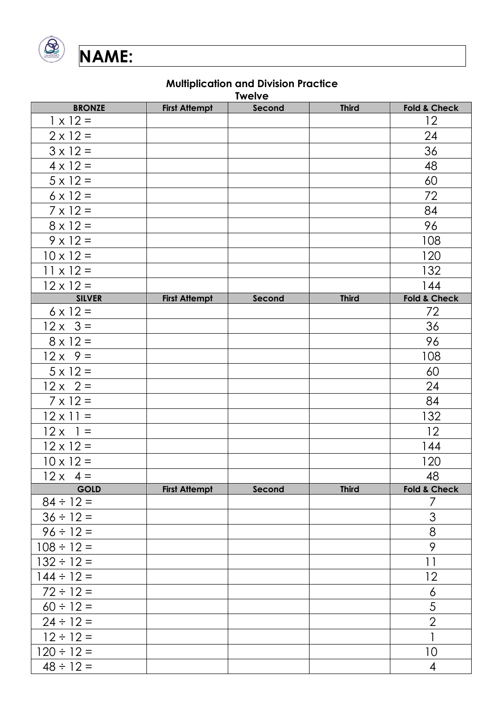

**Twelve**

| <b>BRONZE</b>    | <b>First Attempt</b> | $T$ is $T$ | <b>Third</b> | <b>Fold &amp; Check</b>                                                                                            |
|------------------|----------------------|------------|--------------|--------------------------------------------------------------------------------------------------------------------|
| $1 \times 12 =$  |                      | Second     |              | 12                                                                                                                 |
| $2 \times 12 =$  |                      |            |              | 24                                                                                                                 |
| $3 \times 12 =$  |                      |            |              | 36                                                                                                                 |
| $4 \times 12 =$  |                      |            |              | 48                                                                                                                 |
| $5 \times 12 =$  |                      |            |              | 60                                                                                                                 |
| $6 \times 12 =$  |                      |            |              | 72                                                                                                                 |
| $7 \times 12 =$  |                      |            |              | 84                                                                                                                 |
| $8 \times 12 =$  |                      |            |              | 96                                                                                                                 |
| $9 \times 12 =$  |                      |            |              | 108                                                                                                                |
| $10 \times 12 =$ |                      |            |              | 120                                                                                                                |
| $11 \times 12 =$ |                      |            |              | 132                                                                                                                |
| $12 \times 12 =$ |                      |            |              | 144                                                                                                                |
| <b>SILVER</b>    | <b>First Attempt</b> | Second     | <b>Third</b> | <b>Fold &amp; Check</b>                                                                                            |
| $6 \times 12 =$  |                      |            |              | 72                                                                                                                 |
| $12 \times 3 =$  |                      |            |              | 36                                                                                                                 |
| $8 \times 12 =$  |                      |            |              | 96                                                                                                                 |
| $12x$ $9 =$      |                      |            |              | 108                                                                                                                |
| $5 \times 12 =$  |                      |            |              | 60                                                                                                                 |
| $12x$ 2 =        |                      |            |              | 24                                                                                                                 |
| $7 \times 12 =$  |                      |            |              | 84                                                                                                                 |
| $12 \times 11 =$ |                      |            |              | 132                                                                                                                |
| $12x$ 1 =        |                      |            |              | 12                                                                                                                 |
| $12 \times 12 =$ |                      |            |              | 144                                                                                                                |
| $10 \times 12 =$ |                      |            |              | 120                                                                                                                |
| $12x 4=$         |                      |            |              | 48                                                                                                                 |
| <b>GOLD</b>      | <b>First Attempt</b> | Second     | <b>Third</b> | <b>Fold &amp; Check</b>                                                                                            |
| $84 \div 12 =$   |                      |            |              | 7                                                                                                                  |
| $36 \div 12 =$   |                      |            |              | $\mathfrak{S}% _{CS}^{\ast}(\mathfrak{S}_{\alpha}^{\ast},\mathcal{C}_{\alpha}^{\ast},\mathcal{C}_{\alpha}^{\ast})$ |
| $96 \div 12 =$   |                      |            |              | 8                                                                                                                  |
| $108 \div 12 =$  |                      |            |              | 9                                                                                                                  |
| $132 \div 12 =$  |                      |            |              | 11                                                                                                                 |
| $144 \div 12 =$  |                      |            |              | 12                                                                                                                 |
| $72 \div 12 =$   |                      |            |              | 6                                                                                                                  |
| $60 \div 12 =$   |                      |            |              | 5                                                                                                                  |
| $24 \div 12 =$   |                      |            |              | $\overline{2}$                                                                                                     |
| $12 \div 12 =$   |                      |            |              | $\mathbf{1}$                                                                                                       |
| $120 \div 12 =$  |                      |            |              | 10                                                                                                                 |
| $48 \div 12 =$   |                      |            |              | 4                                                                                                                  |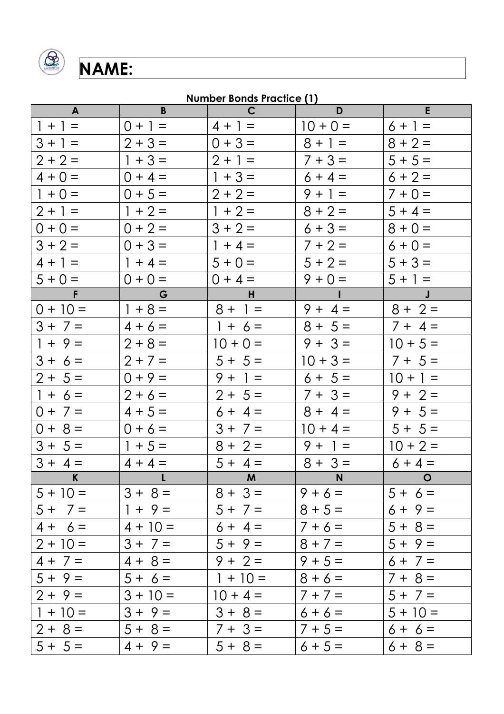

## **Number Bonds Practice (1)**

| $\mathbf{A}$                       | B              | $\mathsf{C}$ | D          | E              |
|------------------------------------|----------------|--------------|------------|----------------|
| $1 + 1 =$                          | $0 + 1 =$      | $4 + 1 =$    | $10 + 0 =$ | $6 + 1 =$      |
| $3 + 1 =$                          | $2 + 3 =$      | $0 + 3 =$    | $8 + 1 =$  | $8 + 2 =$      |
| $2 + 2 =$                          | $1 + 3 =$      | $2 + 1 =$    | $7 + 3 =$  | $5 + 5 =$      |
| $4 + 0 =$                          | $0 + 4 =$      | $1 + 3 =$    | $6 + 4 =$  | $6 + 2 =$      |
| $1 + 0 =$                          | $0 + 5 =$      | $2 + 2 =$    | $9 + 1 =$  | $7 + 0 =$      |
| $2 + 1 =$                          | $1 + 2 =$      | $1 + 2 =$    | $8 + 2 =$  | $5 + 4 =$      |
| $0 + 0 =$                          | $0 + 2 =$      | $3 + 2 =$    | $6 + 3 =$  | $8 + 0 =$      |
| $3 + 2 =$                          | $0 + 3 =$      | $1 + 4 =$    | $7 + 2 =$  | $6 + 0 =$      |
| $4 + 1 =$                          | $1 + 4 =$      | $5 + 0 =$    | $5 + 2 =$  | $5 + 3 =$      |
| $5 + 0 =$                          | $0 + 0 =$      | $0 + 4 =$    | $9 + 0 =$  | $5 + 1 =$      |
| $\mathbb{R}^n \times \mathbb{R}^n$ | $\overline{G}$ | H            | $\sim 10$  | $\mathbf{J}$   |
| $0 + 10 =$                         | $1 + 8 =$      | $8 + 1 =$    | $9 + 4 =$  | $8 + 2 =$      |
| $3 + 7 =$                          | $4 + 6 =$      | $1 + 6 =$    | $8 + 5 =$  | $7 + 4 =$      |
| $1 + 9 =$                          | $2 + 8 =$      | $10 + 0 =$   | $9 + 3 =$  | $10 + 5 =$     |
| $3 + 6 =$                          | $2 + 7 =$      | $5 + 5 =$    | $10 + 3 =$ | $7 + 5 =$      |
| $2 + 5 =$                          | $0 + 9 =$      | $9 + 1 =$    | $6 + 5 =$  | $10 + 1 =$     |
| $1 + 6 =$                          | $2 + 6 =$      | $2 + 5 =$    | $7 + 3 =$  | $9 + 2 =$      |
| $0 + 7 =$                          | $4 + 5 =$      | $6 + 4 =$    | $8 + 4 =$  | $9 + 5 =$      |
| $0 + 8 =$                          | $0 + 6 =$      | $3 + 7 =$    | $10 + 4 =$ | $5 + 5 =$      |
| $3 + 5 =$                          | $1 + 5 =$      | $8 + 2 =$    | $9 + 1 =$  | $10 + 2 =$     |
| $3 + 4 =$                          | $4 + 4 =$      | $5 + 4 =$    | $8 + 3 =$  | $6 + 4 =$      |
| $\mathbf{K}$                       | $\mathbf{L}$   | $\mathbf{M}$ | <b>N</b>   | $\overline{a}$ |
| $5 + 10 =$                         | $3 + 8 =$      | $8 + 3 =$    | $9 + 6 =$  | $5 + 6 =$      |
| $5 + 7 =$                          | $1 + 9 =$      | $5 + 7 =$    | $8 + 5 =$  | $6 + 9 =$      |
| $4 + 6 =$                          | $4 + 10 =$     | $6 + 4 =$    | $7 + 6 =$  | $5 + 8 =$      |
| $2 + 10 =$                         | $3 + 7 =$      | $5 + 9 =$    | $8 + 7 =$  | $5 + 9 =$      |
| $4 + 7 =$                          | $4 + 8 =$      | $9 + 2 =$    | $9 + 5 =$  | $6 + 7 =$      |
| $5 + 9 =$                          | $5 + 6 =$      | $1 + 10 =$   | $8 + 6 =$  | $7 + 8 =$      |
| $2 + 9 =$                          | $3 + 10 =$     | $10 + 4 =$   | $7 + 7 =$  | $5 + 7 =$      |
| $1 + 10 =$                         | $3 + 9 =$      | $3 + 8 =$    | $6 + 6 =$  | $5 + 10 =$     |
| $2 + 8 =$                          | $5 + 8 =$      | $7 + 3 =$    | $7 + 5 =$  | $6 + 6 =$      |
| $5 + 5 =$                          | $4 + 9 =$      | $5 + 8 =$    | $6 + 5 =$  | $6 + 8 =$      |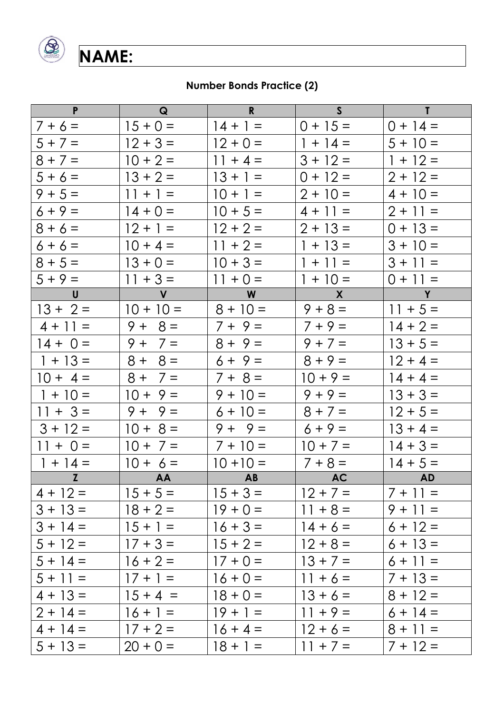

## **Number Bonds Practice (2)**

| $\mathsf{P}$   | $\mathbf{Q}$  | $\mathbf{R}$ | S                | $\mathbf{T}$     |
|----------------|---------------|--------------|------------------|------------------|
| $7 + 6 =$      | $15 + 0 =$    | $14 + 1 =$   | $0 + 15 =$       | $0 + 14 =$       |
| $5 + 7 =$      | $12 + 3 =$    | $12 + 0 =$   | $1 + 14 =$       | $5 + 10 =$       |
| $8 + 7 =$      | $10 + 2 =$    | $11 + 4 =$   | $3 + 12 =$       | $1 + 12 =$       |
| $5 + 6 =$      | $13 + 2 =$    | $13 + 1 =$   | $0 + 12 =$       | $2 + 12 =$       |
| $9 + 5 =$      | $11 + 1 =$    | $10 + 1 =$   | $2 + 10 =$       | $4 + 10 =$       |
| $6 + 9 =$      | $14 + 0 =$    | $10 + 5 =$   | $4 + 11 =$       | $2 + 11 =$       |
| $8 + 6 =$      | $12 + 1 =$    | $12 + 2 =$   | $2 + 13 =$       | $0 + 13 =$       |
| $6 + 6 =$      | $10 + 4 =$    | $11 + 2 =$   | $1 + 13 =$       | $3 + 10 =$       |
| $8 + 5 =$      | $13 + 0 =$    | $10 + 3 =$   | $1 + 11 =$       | $3 + 11 =$       |
| $5 + 9 =$      | $11 + 3 =$    | $11 + 0 =$   | $1 + 10 =$       | $0 + 11 =$       |
| $\mathsf{U}$   | $\mathbf{V}$  | W            | $\mathsf{X}$     | Y                |
| $13 + 2 =$     | $10 + 10 =$   | $8 + 10 =$   | $9 + 8 =$        | $11 + 5 =$       |
| $4 + 11 =$     | $9 + 8 =$     | $7 + 9 =$    | $7 + 9 =$        | $14 + 2 =$       |
| $14 + 0 =$     | $9 + 7 =$     | $8 + 9 =$    | $9 + 7 =$        | $13 + 5 =$       |
| $1 + 13 =$     | $8 =$<br>$8+$ | $6 + 9 =$    | $8 + 9 =$        | $12 + 4 =$       |
| $10 + 4 =$     | $8 + 7 =$     | $7 + 8 =$    | $10 + 9 =$       | $14 + 4 =$       |
| $1 + 10 =$     | $10 + 9 =$    | $9 + 10 =$   | $9 + 9 =$        | $13 + 3 =$       |
| $11 + 3 =$     | $9 + 9 =$     | $6 + 10 =$   | $8 + 7 =$        | $12 + 5 =$       |
| $3 + 12 =$     | $10 + 8 =$    | $9 + 9 =$    | $6 + 9 =$        | $13 + 4 =$       |
| $11 + 0 =$     | $10 + 7 =$    | $7 + 10 =$   | $10 + 7 =$       | $14 + 3 =$       |
| $1 + 14 =$     | $10 + 6 =$    | $10 + 10 =$  | $7 + 8 =$        | $14 + 5 =$       |
| $\overline{z}$ | AA            | AB           | <b>Example 2</b> | <b>Example 2</b> |
| $4 + 12 =$     | $15 + 5 =$    | $15 + 3 =$   | $12 + 7 =$       | $7 + 11 =$       |
| $3 + 13 =$     | $18 + 2 =$    | $19 + 0 =$   | $11 + 8 =$       | $9 + 11 =$       |
| $3 + 14 =$     | $15 + 1 =$    | $16 + 3 =$   | $14 + 6 =$       | $6 + 12 =$       |
| $5 + 12 =$     | $17 + 3 =$    | $15 + 2 =$   | $12 + 8 =$       | $6 + 13 =$       |
| $5 + 14 =$     | $16 + 2 =$    | $17 + 0 =$   | $13 + 7 =$       | $6 + 11 =$       |
| $5 + 11 =$     | $17 + 1 =$    | $16 + 0 =$   | $11 + 6 =$       | $7 + 13 =$       |
| $4 + 13 =$     | $15 + 4 =$    | $18 + 0 =$   | $13 + 6 =$       | $8 + 12 =$       |
| $2 + 14 =$     | $16 + 1 =$    | $19 + 1 =$   | $11 + 9 =$       | $6 + 14 =$       |
| $4 + 14 =$     | $17 + 2 =$    | $16 + 4 =$   | $12 + 6 =$       | $8 + 11 =$       |
| $5 + 13 =$     | $20 + 0 =$    | $18 + 1 =$   | $11 + 7 =$       | $7 + 12 =$       |